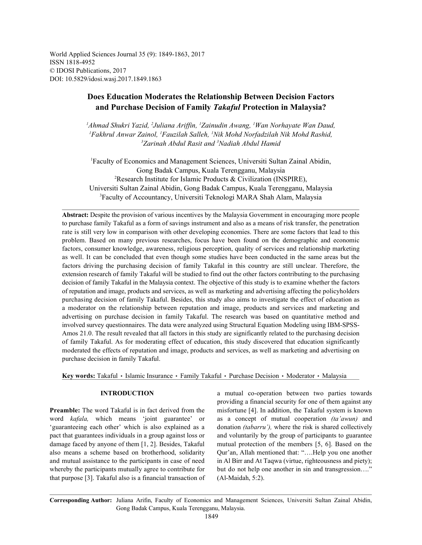World Applied Sciences Journal 35 (9): 1849-1863, 2017 ISSN 1818-4952 © IDOSI Publications, 2017 DOI: 10.5829/idosi.wasj.2017.1849.1863

# **Does Education Moderates the Relationship Between Decision Factors and Purchase Decision of Family** *Takaful* **Protection in Malaysia?**

<sup>1</sup>Ahmad Shukri Yazid, <sup>2</sup>Juliana Ariffin, <sup>1</sup>Zainudin Awang, <sup>1</sup>Wan Norhayate Wan Daud, *Fakhrul Anwar Zainol, Fauzilah Salleh, Nik Mohd Norfadzilah Nik Mohd Rashid, 1 11* <sup>3</sup>Zarinah Abdul Rasit and <sup>3</sup>Nadiah Abdul Hamid

Faculty of Economics and Management Sciences, Universiti Sultan Zainal Abidin, <sup>1</sup> Gong Badak Campus, Kuala Terengganu, Malaysia <sup>2</sup>Research Institute for Islamic Products & Civilization (INSPIRE), Universiti Sultan Zainal Abidin, Gong Badak Campus, Kuala Terengganu, Malaysia <sup>3</sup>Faculty of Accountancy, Universiti Teknologi MARA Shah Alam, Malaysia

**Abstract:** Despite the provision of various incentives by the Malaysia Government in encouraging more people to purchase family Takaful as a form of savings instrument and also as a means of risk transfer, the penetration rate is still very low in comparison with other developing economies. There are some factors that lead to this problem. Based on many previous researches, focus have been found on the demographic and economic factors, consumer knowledge, awareness, religious perception, quality of services and relationship marketing as well. It can be concluded that even though some studies have been conducted in the same areas but the factors driving the purchasing decision of family Takaful in this country are still unclear. Therefore, the extension research of family Takaful will be studied to find out the other factors contributing to the purchasing decision of family Takaful in the Malaysia context. The objective of this study is to examine whether the factors of reputation and image, products and services, as well as marketing and advertising affecting the policyholders purchasing decision of family Takaful. Besides, this study also aims to investigate the effect of education as a moderator on the relationship between reputation and image, products and services and marketing and advertising on purchase decision in family Takaful. The research was based on quantitative method and involved survey questionnaires. The data were analyzed using Structural Equation Modeling using IBM-SPSS-Amos 21.0. The result revealed that all factors in this study are significantly related to the purchasing decision of family Takaful. As for moderating effect of education, this study discovered that education significantly moderated the effects of reputation and image, products and services, as well as marketing and advertising on purchase decision in family Takaful.

Key words: Takaful · Islamic Insurance · Family Takaful · Purchase Decision · Moderator · Malaysia

**Preamble:** The word Takaful is in fact derived from the misfortune [4]. In addition, the Takaful system is known word *kafala,* which means 'joint guarantee' or as a concept of mutual cooperation *(ta'awun)* and 'guaranteeing each other' which is also explained as a donation *(tabarru'),* where the risk is shared collectively pact that guarantees individuals in a group against loss or and voluntarily by the group of participants to guarantee damage faced by anyone of them [1, 2]. Besides, Takaful mutual protection of the members [5, 6]. Based on the also means a scheme based on brotherhood, solidarity Qur'an, Allah mentioned that: "….Help you one another and mutual assistance to the participants in case of need in Al Birr and At Taqwa (virtue, righteousness and piety); whereby the participants mutually agree to contribute for but do not help one another in sin and transgression...." that purpose [3]. Takaful also is a financial transaction of (Al-Maidah, 5:2).

**INTRODUCTION** a mutual co-operation between two parties towards providing a financial security for one of them against any

**Corresponding Author:** Juliana Arifin, Faculty of Economics and Management Sciences, Universiti Sultan Zainal Abidin, Gong Badak Campus, Kuala Terengganu, Malaysia.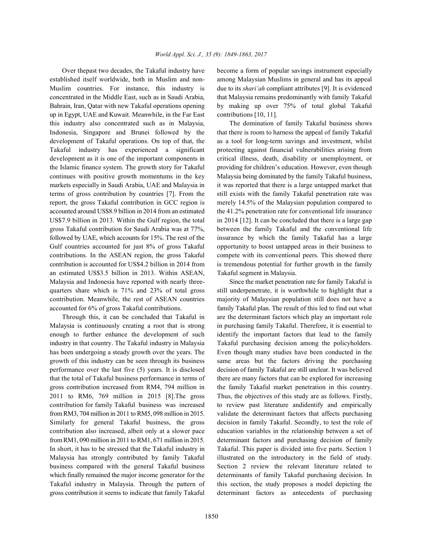established itself worldwide, both in Muslim and non- among Malaysian Muslims in general and has its appeal Muslim countries. For instance, this industry is due to its *shari'ah* compliant attributes [9]. It is evidenced concentrated in the Middle East, such as in Saudi Arabia, that Malaysia remains predominantly with family Takaful Bahrain, Iran, Qatar with new Takaful operations opening by making up over 75% of total global Takaful up in Egypt, UAE and Kuwait. Meanwhile, in the Far East contributions [10, 11]. this industry also concentrated such as in Malaysia, The domination of family Takaful business shows Indonesia, Singapore and Brunei followed by the that there is room to harness the appeal of family Takaful development of Takaful operations. On top of that, the as a tool for long-term savings and investment, whilst Takaful industry has experienced a significant protecting against financial vulnerabilities arising from development as it is one of the important components in critical illness, death, disability or unemployment, or the Islamic finance system. The growth story for Takaful providing for children's education. However, even though continues with positive growth momentums in the key Malaysia being dominated by the family Takaful business, markets especially in Saudi Arabia, UAE and Malaysia in it was reported that there is a large untapped market that terms of gross contribution by countries [7]. From the still exists with the family Takaful penetration rate was report, the gross Takaful contribution in GCC region is merely 14.5% of the Malaysian population compared to accounted around US\$8.9 billion in 2014 from an estimated the 41.2% penetration rate for conventional life insurance US\$7.9 billion in 2013. Within the Gulf region, the total in 2014 [12]. It can be concluded that there is a large gap gross Takaful contribution for Saudi Arabia was at 77%, between the family Takaful and the conventional life followed by UAE, which accounts for 15%. The rest of the insurance by which the family Takaful has a large Gulf countries accounted for just 8% of gross Takaful opportunity to boost untapped areas in their business to contributions. In the ASEAN region, the gross Takaful compete with its conventional peers. This showed there contribution is accounted for US\$4.2 billion in 2014 from is tremendous potential for further growth in the family an estimated US\$3.5 billion in 2013. Within ASEAN, Takaful segment in Malaysia. Malaysia and Indonesia have reported with nearly three- Since the market penetration rate for family Takaful is quarters share which is 71% and 23% of total gross still underpenetrate, it is worthwhile to highlight that a contribution. Meanwhile, the rest of ASEAN countries majority of Malaysian population still does not have a accounted for 6% of gross Takaful contributions. family Takaful plan. The result of this led to find out what

Malaysia is continuously creating a root that is strong in purchasing family Takaful. Therefore, it is essential to enough to further enhance the development of such identify the important factors that lead to the family industry in that country. The Takaful industry in Malaysia Takaful purchasing decision among the policyholders. has been undergoing a steady growth over the years. The Even though many studies have been conducted in the growth of this industry can be seen through its business same areas but the factors driving the purchasing performance over the last five (5) years. It is disclosed decision of family Takaful are still unclear. It was believed that the total of Takaful business performance in terms of there are many factors that can be explored for increasing gross contribution increased from RM4, 794 million in the family Takaful market penetration in this country. 2011 to RM6, 769 million in 2015 [8].The gross Thus, the objectives of this study are as follows. Firstly, contribution for family Takaful business was increased to review past literature andidentify and empirically from RM3, 704 million in 2011 to RM5, 098 million in 2015. validate the determinant factors that affects purchasing Similarly for general Takaful business, the gross decision in family Takaful. Secondly, to test the role of contribution also increased, albeit only at a slower pace education variables in the relationship between a set of from RM1, 090 million in 2011 to RM1, 671 million in 2015. determinant factors and purchasing decision of family In short, it has to be stressed that the Takaful industry in Takaful. This paper is divided into five parts. Section 1 Malaysia has strongly contributed by family Takaful illustrated on the introductory in the field of study. business compared with the general Takaful business Section 2 review the relevant literature related to which finally remained the major income generator for the determinants of family Takaful purchasing decision. In Takaful industry in Malaysia. Through the pattern of this section, the study proposes a model depicting the gross contribution it seems to indicate that family Takaful determinant factors as antecedents of purchasing

Over thepast two decades, the Takaful industry have become a form of popular savings instrument especially

Through this, it can be concluded that Takaful in are the determinant factors which play an important role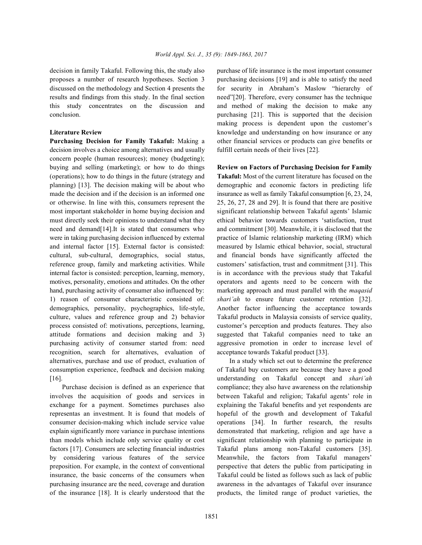proposes a number of research hypotheses. Section 3 purchasing decisions [19] and is able to satisfy the need results and findings from this study. In the final section need"[20]. Therefore, every consumer has the technique this study concentrates on the discussion and and method of making the decision to make any conclusion. purchasing [21]. This is supported that the decision

**Purchasing Decision for Family Takaful:** Making a other financial services or products can give benefits or decision involves a choice among alternatives and usually fulfill certain needs of their lives [22]. concern people (human resources); money (budgeting); buying and selling (marketing); or how to do things **Review on Factors of Purchasing Decision for Family** (operations); how to do things in the future (strategy and **Takaful:** Most of the current literature has focused on the planning) [13]. The decision making will be about who demographic and economic factors in predicting life made the decision and if the decision is an informed one insurance as well as family Takaful consumption [6, 23, 24, or otherwise. In line with this, consumers represent the 25, 26, 27, 28 and 29]. It is found that there are positive most important stakeholder in home buying decision and significant relationship between Takaful agents' Islamic must directly seek their opinions to understand what they ethical behavior towards customers 'satisfaction, trust need and demand [14]. It is stated that consumers who and commitment [30]. Meanwhile, it is disclosed that the were in taking purchasing decision influenced by external practice of Islamic relationship marketing (IRM) which and internal factor [15]. External factor is consisted: measured by Islamic ethical behavior, social, structural cultural, sub-cultural, demographics, social status, and financial bonds have significantly affected the reference group, family and marketing activities. While customers' satisfaction, trust and commitment [31]. This internal factor is consisted: perception, learning, memory, is in accordance with the previous study that Takaful motives, personality, emotions and attitudes. On the other operators and agents need to be concern with the hand, purchasing activity of consumer also influenced by: marketing approach and must parallel with the *maqasid* 1) reason of consumer characteristic consisted of: *shari'ah* to ensure future customer retention [32]. demographics, personality, psychographics, life-style, Another factor influencing the acceptance towards culture, values and reference group and 2) behavior Takaful products in Malaysia consists of service quality, process consisted of: motivations, perceptions, learning, customer's perception and products features. They also attitude formations and decision making and 3) suggested that Takaful companies need to take an purchasing activity of consumer started from: need aggressive promotion in order to increase level of recognition, search for alternatives, evaluation of acceptance towards Takaful product [33]. alternatives, purchase and use of product, evaluation of In a study which set out to determine the preference consumption experience, feedback and decision making of Takaful buy customers are because they have a good [16]. understanding on Takaful concept and *shari'ah*

involves the acquisition of goods and services in between Takaful and religion; Takaful agents' role in exchange for a payment. Sometimes purchases also explaining the Takaful benefits and yet respondents are representas an investment. It is found that models of hopeful of the growth and development of Takaful consumer decision-making which include service value operations [34]. In further research, the results explain significantly more variance in purchase intentions demonstrated that marketing, religion and age have a than models which include only service quality or cost significant relationship with planning to participate in factors [17]. Consumers are selecting financial industries Takaful plans among non-Takaful customers [35]. by considering various features of the service Meanwhile, the factors from Takaful managers' preposition. For example, in the context of conventional perspective that deters the public from participating in insurance, the basic concerns of the consumers when Takaful could be listed as follows such as lack of public purchasing insurance are the need, coverage and duration awareness in the advantages of Takaful over insurance of the insurance [18]. It is clearly understood that the products, the limited range of product varieties, the

decision in family Takaful. Following this, the study also purchase of life insurance is the most important consumer discussed on the methodology and Section 4 presents the for security in Abraham's Maslow "hierarchy of **Literature Review Literature Review knowledge and understanding on how insurance or any** making process is dependent upon the customer's

Purchase decision is defined as an experience that compliance; they also have awareness on the relationship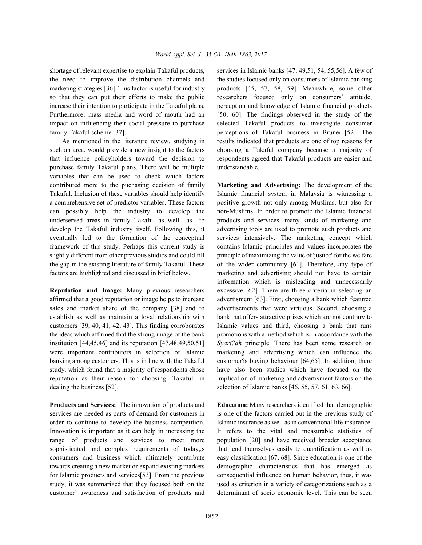the need to improve the distribution channels and the studies focused only on consumers of Islamic banking marketing strategies [36]. This factor is useful for industry products [45, 57, 58, 59]. Meanwhile, some other so that they can put their efforts to make the public researchers focused only on consumers' attitude, increase their intention to participate in the Takaful plans. perception and knowledge of Islamic financial products Furthermore, mass media and word of mouth had an [50, 60]. The findings observed in the study of the impact on influencing their social pressure to purchase selected Takaful products to investigate consumer family Takaful scheme [37]. perceptions of Takaful business in Brunei [52]. The

such an area, would provide a new insight to the factors choosing a Takaful company because a majority of that influence policyholders toward the decision to respondents agreed that Takaful products are easier and purchase family Takaful plans. There will be multiple understandable. variables that can be used to check which factors contributed more to the puchasing decision of family **Marketing and Advertising:** The development of the Takaful. Inclusion of these variables should help identify Islamic financial system in Malaysia is witnessing a a comprehensive set of predictor variables. These factors positive growth not only among Muslims, but also for can possibly help the industry to develop the non-Muslims. In order to promote the Islamic financial underserved areas in family Takaful as well as to products and services, many kinds of marketing and develop the Takaful industry itself. Following this, it advertising tools are used to promote such products and eventually led to the formation of the conceptual services intensively. The marketing concept which framework of this study. Perhaps this current study is contains Islamic principles and values incorporates the slightly different from other previous studies and could fill principle of maximizing the value of 'justice' for the welfare the gap in the existing literature of family Takaful. These of the wider community [61]. Therefore, any type of factors are highlighted and discussed in brief below. marketing and advertising should not have to contain

affirmed that a good reputation or image helps to increase advertisment [63]. First, choosing a bank which featured sales and market share of the company [38] and to advertisements that were virtuous. Second, choosing a establish as well as maintain a loyal relationship with bank that offers attractive prizes which are not contrary to customers [39, 40, 41, 42, 43]. This finding corroborates Islamic values and third, choosing a bank that runs the ideas which affirmed that the strong image of the bank promotions with a method which is in accordance with the institution [44,45,46] and its reputation [47,48,49,50,51] *Syari?ah* principle. There has been some research on were important contributors in selection of Islamic marketing and advertising which can influence the banking among customers. This is in line with the Takaful customer?s buying behaviour [64;65]. In addition, there study, which found that a majority of respondents chose have also been studies which have focused on the reputation as their reason for choosing Takaful in implication of marketing and advertisment factors on the dealing the business [52]. selection of Islamic banks [46, 55, 57, 61, 63, 66].

**Products and Services:** The innovation of products and **Education:** Many researchers identified that demographic services are needed as parts of demand for customers in is one of the factors carried out in the previous study of order to continue to develop the business competition. Islamic insurance as well as in conventional life insurance. Innovation is important as it can help in increasing the It refers to the vital and measurable statistics of range of products and services to meet more population [20] and have received broader acceptance sophisticated and complex requirements of today, s that lend themselves easily to quantification as well as consumers and business which ultimately contribute easy classification [67, 68]. Since education is one of the towards creating a new market or expand existing markets demographic characteristics that has emerged as for Islamic products and services[53]. From the previous consequential influence on human behavior, thus, it was study, it was summarized that they focused both on the used as criterion in a variety of categorizations such as a customer' awareness and satisfaction of products and determinant of socio economic level. This can be seen

shortage of relevant expertise to explain Takaful products, services in Islamic banks [47, 49,51, 54, 55,56]. A few of As mentioned in the literature review, studying in results indicated that products are one of top reasons for

**Reputation and Image:** Many previous researchers excessive [62]. There are three criteria in selecting an information which is misleading and unnecessarily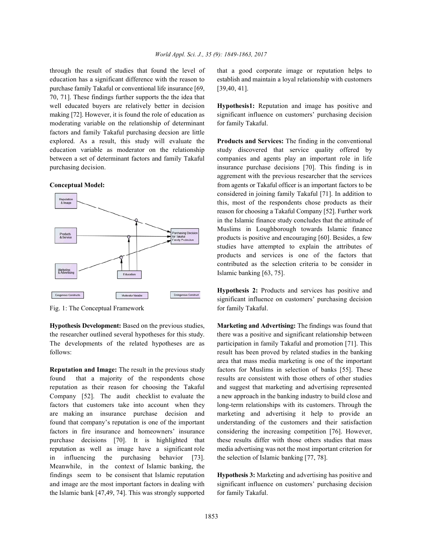education has a significant difference with the reason to establish and maintain a loyal relationship with customers purchase family Takaful or conventional life insurance [69, [39,40, 41]. 70, 71]. These findings further supports the the idea that well educated buyers are relatively better in decision **Hypothesis1:** Reputation and image has positive and making [72]. However, it is found the role of education as significant influence on customers' purchasing decision moderating variable on the relationship of determinant for family Takaful. factors and family Takaful purchasing decsion are little explored. As a result, this study will evaluate the **Products and Services:** The finding in the conventional education variable as moderator on the relationship study discovered that service quality offered by between a set of determinant factors and family Takaful companies and agents play an important role in life purchasing decision. insurance purchase decisions [70]. This finding is in



Fig. 1: The Conceptual Framework for family Takaful.

**Hypothesis Development:** Based on the previous studies, **Marketing and Advertising:** The findings was found that the researcher outlined several hypotheses for this study. there was a positive and significant relationship between The developments of the related hypotheses are as participation in family Takaful and promotion [71]. This follows: result has been proved by related studies in the banking

found that a majority of the respondents chose results are consistent with those others of other studies reputation as their reason for choosing the Takaful and suggest that marketing and advertising represented Company [52]. The audit checklist to evaluate the a new approach in the banking industry to build close and factors that customers take into account when they long-term relationships with its customers. Through the are making an insurance purchase decision and marketing and advertising it help to provide an found that company's reputation is one of the important understanding of the customers and their satisfaction factors in fire insurance and homeowners' insurance considering the increasing competition [76]. However, purchase decisions [70]. It is highlighted that these results differ with those others studies that mass reputation as well as image have a significant role media advertising was not the most important criterion for in influencing the purchasing behavior [73]. the selection of Islamic banking [77, 78]. Meanwhile, in the context of Islamic banking, the findings seem to be consisent that Islamic reputation **Hypothesis 3:** Marketing and advertising has positive and and image are the most important factors in dealing with significant influence on customers' purchasing decision the Islamic bank  $[47, 49, 74]$ . This was strongly supported for family Takaful.

through the result of studies that found the level of that a good corporate image or reputation helps to

**Conceptual Model: from agents or Takaful officer is an important factors to be** aggrement with the previous researcher that the services considered in joining family Takaful [71]. In addition to this, most of the respondents chose products as their reason for choosing a Takaful Company [52]. Further work in the Islamic finance study concludes that the attitude of Muslims in Loughborough towards Islamic finance products is positive and encouraging [60]. Besides, a few studies have attempted to explain the attributes of products and services is one of the factors that contributed as the selection criteria to be consider in Islamic banking [63, 75].

> **Hypothesis 2:** Products and services has positive and significant influence on customers' purchasing decision

**Reputation and Image:** The result in the previous study factors for Muslims in selection of banks [55]. These area that mass media marketing is one of the important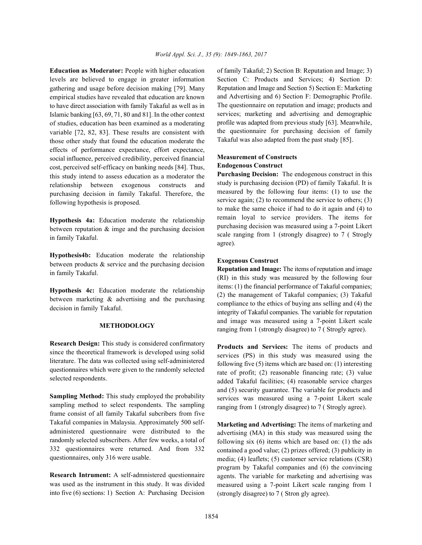levels are believed to engage in greater information gathering and usage before decision making [79]. Many empirical studies have revealed that education are known to have direct association with family Takaful as well as in Islamic banking [63, 69, 71, 80 and 81]. In the other context of studies, education has been examined as a moderating variable [72, 82, 83]. These results are consistent with those other study that found the education moderate the effects of performance expectance, effort expectance, social influence, perceived credibility, perceived financial cost, perceived self-efficacy on banking needs [84]. Thus, this study intend to assess education as a moderator the relationship between exogenous constructs and purchasing decision in family Takaful. Therefore, the following hypothesis is proposed.

**Hypothesis 4a:** Education moderate the relationship between reputation  $\&$  imge and the purchasing decision in family Takaful.

**Hypothesis4b:** Education moderate the relationship between products & service and the purchasing decision in family Takaful.

**Hypothesis 4c:** Education moderate the relationship between marketing & advertising and the purchasing decision in family Takaful.

## **METHODOLOGY**

**Research Design:** This study is considered confirmatory since the theoretical framework is developed using solid literature. The data was collected using self-administered questionnaires which were given to the randomly selected selected respondents.

**Sampling Method:** This study employed the probability sampling method to select respondents. The sampling frame consist of all family Takaful subcribers from five Takaful companies in Malaysia. Approximately 500 selfadministered questionnaire were distributed to the randomly selected subscribers. After few weeks, a total of 332 questionnaires were returned. And from 332 questionnaires, only 316 were usable.

**Research Intrument:** A self-admnistered questionnaire was used as the instrument in this study. It was divided into five (6) sections: 1) Section A: Purchasing Decision

**Education as Moderator:** People with higher education of family Takaful; 2) Section B: Reputation and Image; 3) Section C: Products and Services; 4) Section D: Reputation and Image and Section 5) Section E: Marketing and Advertising and 6) Section F: Demographic Profile. The questionnaire on reputation and image; products and services; marketing and advertising and demographic profile was adapted from previous study [63]. Meanwhile, the questionnaire for purchasing decision of family Takaful was also adapted from the past study [85].

## **Measurement of Constructs Endogenous Construct**

**Purchasing Decision:** The endogenous construct in this study is purchasing decision (PD) of family Takaful. It is measured by the following four items: (1) to use the service again; (2) to recommend the service to others; (3) to make the same choice if had to do it again and (4) to remain loyal to service providers. The items for purchasing decision was measured using a 7-point Likert scale ranging from 1 (strongly disagree) to 7 ( Strogly agree).

## **Exogenous Construct**

**Reputation and Image:** The items of reputation and image (RI) in this study was measured by the following four items: (1) the financial performance of Takaful companies; (2) the management of Takaful companies; (3) Takaful compliance to the ethics of buying ans selling and (4) the integrity of Takaful companies. The variable for reputation and image was measured using a 7-point Likert scale ranging from 1 (strongly disagree) to 7 ( Strogly agree).

**Products and Services:** The items of products and services (PS) in this study was measured using the following five (5) items which are based on: (1) interesting rate of profit; (2) reasonable financing rate; (3) value added Takaful facilities; (4) reasonable service charges and (5) security guarantee. The variable for products and services was measured using a 7-point Likert scale ranging from 1 (strongly disagree) to 7 ( Strogly agree).

**Marketing and Advertising:** The items of marketing and advertising (MA) in this study was measured using the following six (6) items which are based on: (1) the ads contained a good value; (2) prizes offered; (3) publicity in media; (4) leaflets; (5) customer service relations (CSR) program by Takaful companies and (6) the convincing agents. The variable for marketing and advertising was measured using a 7-point Likert scale ranging from 1 (strongly disagree) to 7 ( Stron gly agree).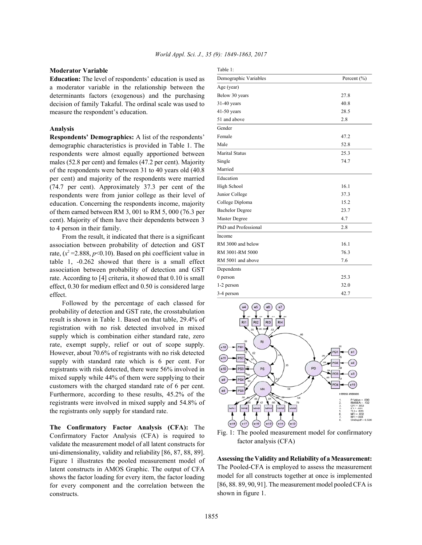### **Moderator Variable**

**Education:** The level of respondents' education is used as a moderator variable in the relationship between the determinants factors (exogenous) and the purchasing decision of family Takaful. The ordinal scale was used to measure the respondent's education.

### **Analysis**

**Respondents' Demographics:** A list of the respondents' demographic characteristics is provided in Table 1. The respondents were almost equally apportioned between males (52.8 per cent) and females (47.2 per cent). Majority of the respondents were between 31 to 40 years old (40.8 per cent) and majority of the respondents were married (74.7 per cent). Approximately 37.3 per cent of the respondents were from junior college as their level of education. Concerning the respondents income, majority of them earned between RM 3, 001 to RM 5, 000 (76.3 per cent). Majority of them have their dependents between 3 to 4 person in their family.

From the result, it indicated that there is a significant association between probability of detection and GST rate,  $(x^2 = 2.888, p < 0.10)$ . Based on phi coefficient value in table 1, -0.262 showed that there is a small effect association between probability of detection and GST rate. According to [4] criteria, it showed that 0.10 is small effect, 0.30 for medium effect and 0.50 is considered large effect.

Followed by the percentage of each classed for probability of detection and GST rate, the crosstabulation result is shown in Table 1. Based on that table, 29.4% of registration with no risk detected involved in mixed supply which is combination either standard rate, zero rate, exempt supply, relief or out of scope supply. However, about 70.6% of registrants with no risk detected supply with standard rate which is 6 per cent. For registrants with risk detected, there were 56% involved in mixed supply while 44% of them were supplying to their customers with the charged standard rate of 6 per cent. Furthermore, according to these results, 45.2% of the registrants were involved in mixed supply and 54.8% of the registrants only supply for standard rate.

**The Confirmatory Factor Analysis (CFA):** The Confirmatory Factor Analysis (CFA) is required to validate the measurement model of all latent constructs for uni-dimensionality, validity and reliability [86, 87, 88, 89]. Figure 1 illustrates the pooled measurement model of latent constructs in AMOS Graphic. The output of CFA shows the factor loading for every item, the factor loading for every component and the correlation between the constructs.

| I<br>۰.<br>×<br>×<br>٠<br>۰. |  |
|------------------------------|--|

| Demographic Variables  | Percent $(\% )$ |
|------------------------|-----------------|
| Age (year)             |                 |
| Below 30 years         | 27.8            |
| $31-40$ years          | 40.8            |
| $41-50$ years          | 28.5            |
| 51 and above           | 2.8             |
| Gender                 |                 |
| Female                 | 47.2            |
| Male                   | 52.8            |
| <b>Marital Status</b>  | 25.3            |
| Single                 | 74.7            |
| Married                |                 |
| Education              |                 |
| High School            | 16.1            |
| Junior College         | 37.3            |
| College Diploma        | 15.2            |
| <b>Bachelor Degree</b> | 23.7            |
| Master Degree          | 4.7             |
| PhD and Professional   | 2.8             |
| Income                 |                 |
| RM 3000 and below      | 16.1            |
| RM 3001-RM 5000        | 76.3            |
| RM 5001 and above      | 7.6             |
| Dependents             |                 |
| $0$ person             | 25.3            |
| 1-2 person             | 32.0            |
| 3-4 person             | 42.7            |



Fig. 1: The pooled measurement model for confirmatory factor analysis (CFA)

**Assessing the Validity and Reliability of a Measurement:** The Pooled-CFA is employed to assess the measurement model for all constructs together at once is implemented [86, 88. 89, 90, 91]. The measurement model pooled CFA is shown in figure 1.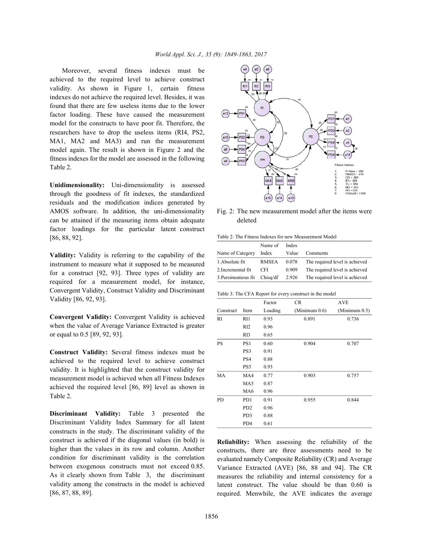Moreover, several fitness indexes must be achieved to the required level to achieve construct validity. As shown in Figure 1, certain fitness indexes do not achieve the required level. Besides, it was found that there are few useless items due to the lower factor loading. These have caused the measurement model for the constructs to have poor fit. Therefore, the researchers have to drop the useless items (RI4, PS2, MA1, MA2 and MA3) and run the measurement model again. The result is shown in Figure 2 and the fitness indexes for the model are assessed in the following Table 2.

**Unidimensionality:** Uni-dimensionality is assessed through the goodness of fit indexes, the standardized residuals and the modification indices generated by AMOS software. In addition, the uni-dimensionality Fig. 2: The new measurement model after the items were can be attained if the measuring items obtain adequate deleted factor loadings for the particular latent construct [86, 88, 92].

**Validity:** Validity is referring to the capability of the instrument to measure what it supposed to be measured for a construct [92, 93]. Three types of validity are required for a measurement model, for instance, Convergent Validity, Construct Validity and Discriminant Validity [86, 92, 93].

**Convergent Validity:** Convergent Validity is achieved when the value of Average Variance Extracted is greater or equal to 0.5 [89, 92, 93].

**Construct Validity:** Several fitness indexes must be achieved to the required level to achieve construct validity. It is highlighted that the construct validity for measurement model is achieved when all Fitness Indexes achieved the required level [86, 89] level as shown in Table 2.

**Discriminant Validity:** Table 3 presented the Discriminant Validity Index Summary for all latent constructs in the study. The discriminant validity of the construct is achieved if the diagonal values (in bold) is higher than the values in its row and column. Another condition for discriminant validity is the correlation between exogenous constructs must not exceed 0.85. As it clearly shown from Table 3, the discriminant validity among the constructs in the model is achieved [86, 87, 88, 89].



Table 2: The Fitness Indexes for new Measurement Model

|                              | Name of      | Index |                                |
|------------------------------|--------------|-------|--------------------------------|
| Name of Category             | Index        | Value | Comments                       |
| 1. Absolute fit              | <b>RMSEA</b> | 0.078 | The required level is achieved |
| 2. Incremental fit           | CFI.         | 0.909 | The required level is achieved |
| 3. Parsimonious fit Chisq/df |              | 2.926 | The required level is achieved |

Table 3: The CFA Report for every construct in the model

|           |                             | Factor  | <b>CR</b>     | <b>AVE</b>    |
|-----------|-----------------------------|---------|---------------|---------------|
| Construct | Item                        | Loading | (Minimum 0.6) | (Minimum 0.5) |
| RI        | RI1                         | 0.93    | 0.891         | 0.736         |
|           | RI2                         | 0.96    |               |               |
|           | RI3                         | 0.65    |               |               |
| <b>PS</b> | PS1                         | 0.60    | 0.904         | 0.707         |
|           | PS3                         | 0.91    |               |               |
|           | PS4                         | 0.88    |               |               |
|           | PS5                         | 0.93    |               |               |
| <b>MA</b> | MA4                         | 0.77    | 0.903         | 0.757         |
|           | MA5                         | 0.87    |               |               |
|           | MA6                         | 0.96    |               |               |
| PD        | PD1                         | 0.91    | 0.955         | 0.844         |
|           | P <sub>D</sub> <sub>2</sub> | 0.96    |               |               |
|           | PD3                         | 0.88    |               |               |
|           | PD4                         | 0.61    |               |               |

**Reliability:** When assessing the reliability of the constructs, there are three assessments need to be evaluated namely Composite Reliability (CR) and Average Variance Extracted (AVE) [86, 88 and 94]. The CR measures the reliability and internal consistency for a latent construct. The value should be than 0.60 is required. Menwhile, the AVE indicates the average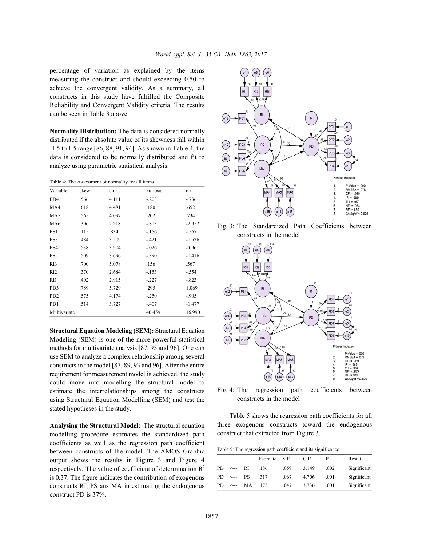percentage of variation as explained by the items measuring the construct and should exceeding 0.50 to achieve the convergent validity. As a summary, all constructs in this study have fulfilled the Composite Reliability and Convergent Validity criteria. The results can be seen in Table 3 above.

**Normality Distribution:** The data is considered normally distributed if the absolute value of its skewness fall within -1.5 to 1.5 range [86, 88, 91, 94]. As shown in Table 4, the data is considered to be normally distributed and fit to analyze using parametric statistical analysis.

Table 4: The Assessment of normality for all items

| Variable                    | skew | c.r.  | kurtosis | c.r.     |
|-----------------------------|------|-------|----------|----------|
| PD4                         | .566 | 4.111 | $-.203$  | $-.736$  |
| MA4                         | .618 | 4.481 | .180     | .652     |
| MA5                         | .565 | 4.097 | .202     | .734     |
| MA6                         | .306 | 2.218 | $-.813$  | $-2.952$ |
| PS1                         | .115 | .834  | $-156$   | $-.567$  |
| PS3                         | .484 | 3.509 | $-421$   | $-1.526$ |
| PS4                         | .538 | 3.904 | $-.026$  | $-.096$  |
| PS5                         | .509 | 3.696 | $-.390$  | $-1.416$ |
| RI3                         | .700 | 5.078 | .156     | .567     |
| RI <sub>2</sub>             | .370 | 2.684 | $-.153$  | - 554    |
| RI1                         | .402 | 2.915 | $-.227$  | $-.823$  |
| PD3                         | .789 | 5.729 | .295     | 1.069    |
| P <sub>D</sub> <sub>2</sub> | .575 | 4.174 | $-.250$  | $-905$   |
| PD1                         | .514 | 3.727 | $-.407$  | $-1.477$ |
| Multivariate                |      |       | 40.459   | 16.990   |

**Structural Equation Modeling (SEM):** Structural Equation Modeling (SEM) is one of the more powerful statistical methods for multivariate analysis [87, 95 and 96]. One can use SEM to analyze a complex relationship among several constructs in the model [87, 89, 93 and 96]. After the entire requirement for measurement model is achieved, the study could move into modelling the structural model to estimate the interrelationships among the constructs using Structural Equation Modelling (SEM) and test the stated hypotheses in the study.

**Analysing the Structural Model:** The structural equation modelling procedure estimates the standardized path coefficients as well as the regression path coefficient between constructs of the model. The AMOS Graphic output shows the results in Figure 3 and Figure 4 respectively. The value of coefficient of determination  $\mathbb{R}^2$ is 0.37. The figure indicates the contribution of exogenous constructs RI, PS ans MA in estimating the endogenous construct PD is 37%.



Fig. 3: The Standardized Path Coefficients between constructs in the model



Fig. 4: The regression path coefficients between constructs in the model

Table 5 shows the regression path coefficients for all three exogenous constructs toward the endogenous construct that extracted from Figure 3.

Table 5: The regression path coefficient and its significance

|     |                    |    | Estimate S.E. |      | C.R.  |      | Result      |
|-----|--------------------|----|---------------|------|-------|------|-------------|
| PD. | $\leq$ --- RI      |    | .186          | .059 | 3.149 | .002 | Significant |
|     | $PD \leftarrow$ PS |    | -317          | .067 | 4.706 | .001 | Significant |
| PD. |                    | MA | .175          | .047 | 3.736 | .001 | Significant |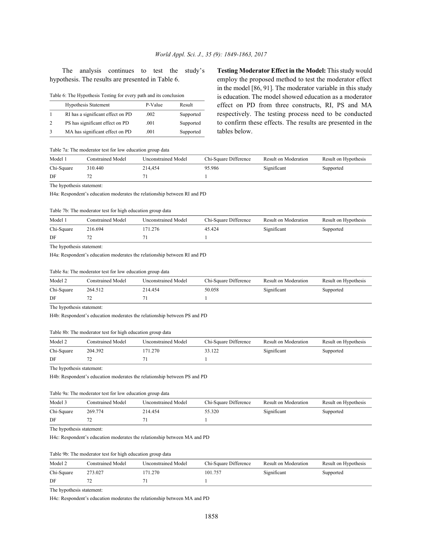The analysis continues to test the study's **Testing Moderator Effect in the Model:** This study would

| Table 6: The Hypothesis Testing for every path and its conclusion |  |  |
|-------------------------------------------------------------------|--|--|
|                                                                   |  |  |

| <b>Hypothesis Statement</b>       | P-Value | Result    |
|-----------------------------------|---------|-----------|
| RI has a significant effect on PD | .002    | Supported |
| PS has significant effect on PD   | .001    | Supported |
| MA has significant effect on PD   | .001    | Supported |

hypothesis. The results are presented in Table 6. employ the proposed method to test the moderator effect in the model [86, 91]. The moderator variable in this study is education. The model showed education as a moderator effect on PD from three constructs, RI, PS and MA respectively. The testing process need to be conducted to confirm these effects. The results are presented in the tables below.

### Table 7a: The moderator test for low education group data

| Model 1    | Constrained Model | Unconstrained Model | Chi-Square Difference | Result on Moderation | Result on Hypothesis |
|------------|-------------------|---------------------|-----------------------|----------------------|----------------------|
| Chi-Square | 310.440           | 214.454             | 95.986                | Significant          | Supported            |
| DF         |                   |                     |                       |                      |                      |

The hypothesis statement:

H4a: Respondent's education moderates the relationship between RI and PD

#### Table 7b: The moderator test for high education group data

| Model 1    | Constrained Model | <b>Unconstrained Model</b> | Chi-Square Difference | Result on Moderation | Result on Hypothesis |
|------------|-------------------|----------------------------|-----------------------|----------------------|----------------------|
| Chi-Square | 216.694           | ' 71.276                   | 45.424                | Significant          | Supported            |
| DF         |                   |                            |                       |                      |                      |

The hypothesis statement:

H4a: Respondent's education moderates the relationship between RI and PD

#### Table 8a: The moderator test for low education group data

| Model 2    | <b>Constrained Model</b> | <b>Unconstrained Model</b> | Chi-Square Difference | Result on Moderation | Result on Hypothesis |
|------------|--------------------------|----------------------------|-----------------------|----------------------|----------------------|
| Chi-Square | 264.512                  | 214.454                    | 50.058                | Significant          | Supported            |
| DF         |                          |                            |                       |                      |                      |

The hypothesis statement:

H4b: Respondent's education moderates the relationship between PS and PD

#### Table 8b: The moderator test for high education group data

| Model 2    | Constrained Model | Unconstrained Model | Chi-Square Difference | Result on Moderation | Result on Hypothesis |
|------------|-------------------|---------------------|-----------------------|----------------------|----------------------|
| Chi-Square | 204.392           | 71.270              | 33.122                | Significant          | Supported            |
| DF         |                   |                     |                       |                      |                      |

The hypothesis statement:

H4b: Respondent's education moderates the relationship between PS and PD

#### Table 9a: The moderator test for low education group data

| Model 3    | <b>Constrained Model</b> | Unconstrained Model | Chi-Square Difference | Result on Moderation | Result on Hypothesis |
|------------|--------------------------|---------------------|-----------------------|----------------------|----------------------|
| Chi-Square | 269.774                  | 214.454             | 55.320                | Significant          | Supported            |
| DF         |                          |                     |                       |                      |                      |

The hypothesis statement:

H4c: Respondent's education moderates the relationship between MA and PD

### Table 9b: The moderator test for high education group data

| Model 2    | <b>Constrained Model</b> | <b>Unconstrained Model</b> | Chi-Square Difference | Result on Moderation | Result on Hypothesis |
|------------|--------------------------|----------------------------|-----------------------|----------------------|----------------------|
| Chi-Square | 273.027                  | 171.270                    | 101.757               | Significant          | Supported            |
| DF         |                          |                            |                       |                      |                      |

The hypothesis statement:

H4c: Respondent's education moderates the relationship between MA and PD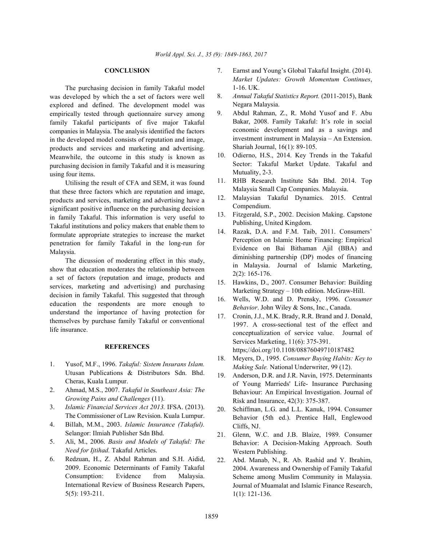The purchasing decision in family Takaful model was developed by which the a set of factors were well explored and defined. The development model was empirically tested through quetionnaire survey among family Takaful participants of five major Takaful companies in Malaysia. The analysis identified the factors in the developed model consists of reputation and image, products and services and marketing and advertising. Meanwhile, the outcome in this study is known as purchasing decision in family Takaful and it is measuring using four items.

Utilising the result of CFA and SEM, it was found that these three factors which are reputation and image, products and services, marketing and advertising have a significant positive influence on the purchasing decision in family Takaful. This information is very useful to Takaful institutions and policy makers that enable them to formulate appropriate strategies to increase the market penetration for family Takaful in the long-run for Malaysia.

The dicussion of moderating effect in this study, show that education moderates the relationship between a set of factors (reputation and image, products and services, marketing and advertising) and purchasing decision in family Takaful. This suggested that through education the respondents are more enough to understand the importance of having protection for themselves by purchase family Takaful or conventional life insurance.

#### **REFERENCES**

- 1. Yusof, M.F., 1996. *Takaful: Sistem Insurans Islam.* Utusan Publications & Distributors Sdn. Bhd. Cheras, Kuala Lumpur.
- 2. Ahmad, M.S., 2007. *Takaful in Southeast Asia: The Growing Pains and Challenges* (11).
- 3. *Islamic Financial Services Act 2013.* IFSA. (2013). The Commissioner of Law Revision. Kuala Lumpur.
- 4. Billah, M.M., 2003. *Islamic Insurance (Takaful).* Selangor: Ilmiah Publisher Sdn Bhd.
- 5. Ali, M., 2006. *Basis and Models of Takaful: The Need for Ijtihad.* Takaful Articles.
- 6. Redzuan, H., Z. Abdul Rahman and S.H. Aidid, 2009. Economic Determinants of Family Takaful Consumption: Evidence from Malaysia. International Review of Business Research Papers, 5(5): 193-211.
- **CONCLUSION** 7. Earnst and Young's Global Takaful Insight. (2014). *Market Updates: Growth Momentum Continues*, 1-16. UK.
	- 8. *Annual Takaful Statistics Report.* (2011-2015), Bank Negara Malaysia.
	- 9. Abdul Rahman, Z., R. Mohd Yusof and F. Abu Bakar, 2008. Family Takaful: It's role in social economic development and as a savings and investment instrument in Malaysia – An Extension. Shariah Journal, 16(1): 89-105.
	- 10. Odierno, H.S., 2014. Key Trends in the Takaful Sector: Takaful Market Update. Takaful and Mutuality, 2-3.
	- 11. RHB Research Institute Sdn Bhd. 2014. Top Malaysia Small Cap Companies. Malaysia.
	- 12. Malaysian Takaful Dynamics. 2015. Central Compendium.
	- 13. Fitzgerald, S.P., 2002. Decision Making. Capstone Publishing, United Kingdom.
	- 14. Razak, D.A. and F.M. Taib, 2011. Consumers' Perception on Islamic Home Financing: Empirical Evidence on Bai Bithaman Ajil (BBA) and diminishing partnership (DP) modes of financing in Malaysia. Journal of Islamic Marketing, 2(2): 165-176.
	- 15. Hawkins, D., 2007. Consumer Behavior: Building Marketing Strategy – 10th edition. McGraw-Hill.
	- 16. Wells, W.D. and D. Prensky, 1996. *Consumer Behavior*. John Wiley & Sons, Inc., Canada.
	- 17. Cronin, J.J., M.K. Brady, R.R. Brand and J. Donald, 1997. A cross-sectional test of the effect and conceptualization of service value. Journal of Services Marketing, 11(6): 375-391. https;//doi.org/10.1108/08876049710187482
	- 18. Meyers, D., 1995. *Consumer Buying Habits: Key to Making Sale.* National Underwriter, 99 (12).
	- 19. Anderson, D.R. and J.R. Navin, 1975. Determinants of Young Marrieds' Life- Insurance Purchasing Behaviour: An Empirical Investigation. Journal of Risk and Insurance, 42(3): 375-387.
	- 20. Schiffman, L.G. and L.L. Kanuk, 1994. Consumer Behavior (5th ed.). Prentice Hall, Englewood Cliffs, NJ.
	- 21. Glenn, W.C. and J.B. Blaize, 1989. Consumer Behavior: A Decision-Making Approach. South Western Publishing.
	- 22. Abd. Manab, N., R. Ab. Rashid and Y. Ibrahim, 2004. Awareness and Ownership of Family Takaful Scheme among Muslim Community in Malaysia. Journal of Muamalat and Islamic Finance Research, 1(1): 121-136.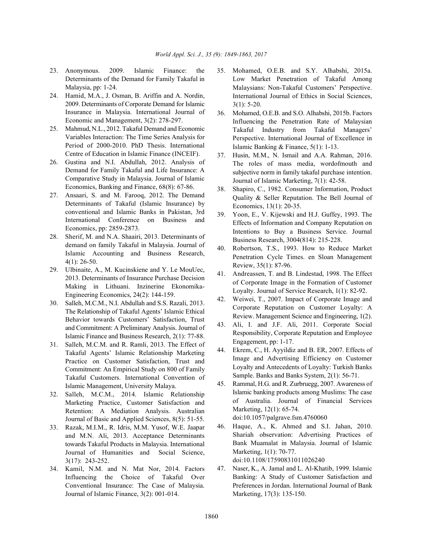- 23. Anonymous. 2009. Islamic Finance: the 35. Mohamed, O.E.B. and S.Y. Alhabshi, 2015a. Determinants of the Demand for Family Takaful in Malaysia, pp: 1-24.
- 24. Hamid, M.A., J. Osman, B. Ariffin and A. Nordin, 2009. Determinants of Corporate Demand for Islamic Insurance in Malaysia. International Journal of Economic and Management, 3(2): 278-297.
- 25. Mahmud, N.L., 2012. Takaful Demand and Economic Variables Interaction: The Time Series Analysis for Period of 2000-2010. PhD Thesis. International Centre of Education in Islamic Finance (INCEIF).
- 26. Gustina and N.I. Abdullah, 2012. Analysis of Demand for Family Takaful and Life Insurance: A Comparative Study in Malaysia. Journal of Islamic Economics, Banking and Finance, 68(8): 67-86.
- 27. Ansaari, S. and M. Farooq, 2012. The Demand Determinants of Takaful (Islamic Insurance) by conventional and Islamic Banks in Pakistan, 3rd International Conference on Business and Economics, pp: 2859-2873.
- 28. Sherif, M. and N.A. Shaairi, 2013. Determinants of demand on family Takaful in Malaysia. Journal of Islamic Accounting and Business Research, 4(1): 26-50.
- 29. Ulbinaite, A., M. Kucinskiene and Y. Le MouUec, 2013. Determinants of Insurance Purchase Decision Making in Lithuani. Inzinerine Ekonomika-Engineering Economics, 24(2): 144-159.
- 30. Salleh, M.C.M., N.I. Abdullah and S.S. Razali, 2013. The Relationship of Takaful Agents' Islamic Ethical Behavior towards Customers' Satisfaction, Trust and Commitment: A Preliminary Analysis. Journal of Islamic Finance and Business Research, 2(1): 77-88.
- 31. Salleh, M.C.M. and R. Ramli, 2013. The Effect of Takaful Agents' Islamic Relationship Marketing Practice on Customer Satisfaction, Trust and Commitment: An Empirical Study on 800 of Family Takaful Customers. International Convention of Islamic Management, University Malaya.
- 32. Salleh, M.C.M., 2014. Islamic Relationship Marketing Practice, Customer Satisfaction and Retention: A Mediation Analysis. Australian Journal of Basic and Applied Sciences, 8(5): 51-55.
- 33. Razak, M.I.M., R. Idris, M.M. Yusof, W.E. Jaapar and M.N. Ali, 2013. Acceptance Determinants towards Takaful Products in Malaysia. International Journal of Humanities and Social Science, 3(17): 243-252.
- 34. Kamil, N.M. and N. Mat Nor, 2014. Factors Influencing the Choice of Takaful Over Conventional Insurance: The Case of Malaysia. Journal of Islamic Finance, 3(2): 001-014.
- Low Market Penetration of Takaful Among Malaysians: Non-Takaful Customers' Perspective. International Journal of Ethics in Social Sciences, 3(1): 5-20.
- 36. Mohamed, O.E.B. and S.O. Alhabshi, 2015b. Factors Influencing the Penetration Rate of Malaysian Takaful Industry from Takaful Managers' Perspective. International Journal of Excellence in Islamic Banking & Finance, 5(1): 1-13.
- 37. Husin, M.M., N. Ismail and A.A. Rahman, 2016. The roles of mass media, wordofmouth and subjective norm in family takaful purchase intention. Journal of Islamic Marketing, 7(1): 42-58.
- 38. Shapiro, C., 1982. Consumer Information, Product Quality & Seller Reputation. The Bell Journal of Economics, 13(1): 20-35.
- 39. Yoon, E., V. Kijewski and H.J. Guffey, 1993. The Effects of Information and Company Reputation on Intentions to Buy a Business Service. Journal Business Research, 3004(814): 215-228.
- 40. Robertson, T.S., 1993. How to Reduce Market Penetration Cycle Times. en Sloan Management Review, 35(1): 87-96.
- 41. Andreassen, T. and B. Lindestad, 1998. The Effect of Corporate Image in the Formation of Customer Loyalty. Journal of Service Research, 1(1): 82-92.
- 42. Weiwei, T., 2007. Impact of Corporate Image and Corporate Reputation on Customer Loyalty: A Review. Management Science and Engineering, 1(2).
- 43. Ali, I. and J.F. Ali, 2011. Corporate Social Responsibility, Corporate Reputation and Employee Engagement, pp: 1-17.
- 44. Ekrem, C., H. Ayyildiz and B. ER, 2007. Effects of Image and Advertising Efficiency on Customer Loyalty and Antecedents of Loyalty: Turkish Banks Sample. Banks and Banks System, 2(1): 56-71.
- 45. Rammal, H.G. and R. Zurbruegg, 2007. Awareness of Islamic banking products among Muslims: The case of Australia. Journal of Financial Services Marketing, 12(1): 65-74.

doi:10.1057/palgrave.fsm.4760060

- 46. Haque, A., K. Ahmed and S.I. Jahan, 2010. Shariah observation: Advertising Practices of Bank Muamalat in Malaysia. Journal of Islamic Marketing, 1(1): 70-77. doi:10.1108/17590831011026240
- 47. Naser, K., A. Jamal and L. Al-Khatib, 1999. Islamic Banking: A Study of Customer Satisfaction and Preferences in Jordan. International Journal of Bank Marketing, 17(3): 135-150.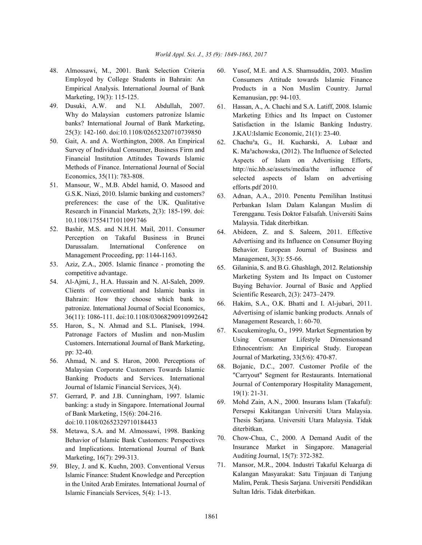- Employed by College Students in Bahrain: An Empirical Analysis. International Journal of Bank Marketing, 19(3): 115-125.
- 49. Dusuki, A.W. and N.I. Abdullah, 2007. Why do Malaysian customers patronize Islamic banks? International Journal of Bank Marketing, 25(3): 142-160. doi:10.1108/02652320710739850
- 50. Gait, A. and A. Worthington, 2008. An Empirical Survey of Individual Consumer, Business Firm and Financial Institution Attitudes Towards Islamic Methods of Finance. International Journal of Social Economics, 35(11): 783-808.
- 51. Mansour, W., M.B. Abdel hamid, O. Masood and G.S.K. Niazi, 2010. Islamic banking and customers? preferences: the case of the UK. Qualitative Research in Financial Markets, 2(3): 185-199. doi: 10.1108/17554171011091746
- 52. Bashir, M.S. and N.H.H. Mail, 2011. Consumer Perception on Takaful Business in Brunei Darussalam. International Conference on Management Proceeding, pp: 1144-1163.
- 53. Aziz, Z.A., 2005. Islamic finance promoting the competitive advantage.
- 54. Al-Ajmi, J., H.A. Hussain and N. Al-Saleh, 2009. Clients of conventional and Islamic banks in Bahrain: How they choose which bank to patronize. International Journal of Social Economics, 36(11): 1086-111. doi:10.1108/03068290910992642
- 55. Haron, S., N. Ahmad and S.L. Planisek, 1994. Patronage Factors of Muslim and non-Muslim Customers. International Journal of Bank Marketing, pp: 32-40.
- 56. Ahmad, N. and S. Haron, 2000. Perceptions of Malaysian Corporate Customers Towards Islamic Banking Products and Services. International Journal of Islamic Financial Services, 3(4).
- 57. Gerrard, P. and J.B. Cunningham, 1997. Islamic banking: a study in Singapore. International Journal of Bank Marketing, 15(6): 204-216. doi:10.1108/02652329710184433
- 58. Metawa, S.A. and M. Almossawi, 1998. Banking Behavior of Islamic Bank Customers: Perspectives and Implications. International Journal of Bank Marketing, 16(7): 299-313.
- 59. Bley, J. and K. Kuehn, 2003. Conventional Versus Islamic Finance: Student Knowledge and Perception in the United Arab Emirates. International Journal of Islamic Financials Services, 5(4): 1-13.
- 48. Almossawi, M., 2001. Bank Selection Criteria 60. Yusof, M.E. and A.S. Shamsuddin, 2003. Muslim Consumers Attitude towards Islamic Finance Products in a Non Muslim Country. Jurnal Kemanusian, pp: 94-103.
	- 61. Hassan, A., A. Chachi and S.A. Latiff, 2008. Islamic Marketing Ethics and Its Impact on Customer Satisfaction in the Islamic Banking Industry. J.KAU:Islamic Economic, 21(1): 23-40.
	- 62. Chachu³a, G., H. Kucharski, A. Lubaœ and K. Ma<sup>3</sup>achowska, (2012). The Influence of Selected Aspects of Islam on Advertising Efforts, http://nic.hb.se/assets/media/the influence of selected aspects of Islam on advertising efforts.pdf 2010.
	- 63. Adnan, A.A., 2010. Penentu Pemilihan Institusi Perbankan Islam Dalam Kalangan Muslim di Terengganu. Tesis Doktor Falsafah. Universiti Sains Malaysia. Tidak diterbitkan.
	- 64. Abideen, Z. and S. Saleem, 2011. Effective Advertising and its Influence on Consumer Buying Behavior. European Journal of Business and Management, 3(3): 55-66.
	- 65. Gilaninia, S. and B.G. Ghashlagh, 2012. Relationship Marketing System and Its Impact on Customer Buying Behavior. Journal of Basic and Applied Scientific Research, 2(3): 2473–2479.
	- 66. Hakim, S.A., O.K. Bhatti and I. Al-jubari, 2011. Advertising of islamic banking products. Annals of Management Research, 1: 60-70.
	- 67. Kucukemiroglu, O., 1999. Market Segmentation by Using Consumer Lifestyle Dimensionsand Ethnocentrism: An Empirical Study. European Journal of Marketing, 33(5/6): 470-87.
	- 68. Bojanic, D.C., 2007. Customer Profile of the "Carryout" Segment for Restaurants. International Journal of Contemporary Hospitality Management, 19(1): 21-31.
	- 69. Mohd Zain, A.N., 2000. Insurans Islam (Takaful): Persepsi Kakitangan Universiti Utara Malaysia. Thesis Sarjana. Universiti Utara Malaysia. Tidak diterbitkan.
	- 70. Chow-Chua, C., 2000. A Demand Audit of the Insurance Market in Singapore. Managerial Auditing Journal, 15(7): 372-382.
	- 71. Mansor, M.R., 2004. Industri Takaful Keluarga di Kalangan Masyarakat: Satu Tinjauan di Tanjung Malim, Perak. Thesis Sarjana. Universiti Pendidikan Sultan Idris. Tidak diterbitkan.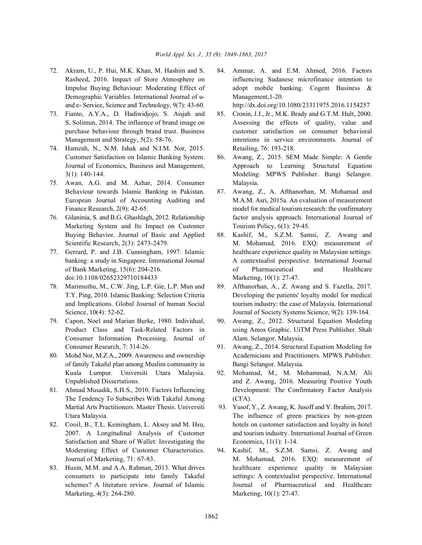- Demographic Variables. International Journal of u- Management,1-20. and e- Service, Science and Technology, 9(7): 43-60. http://dx.doi.org/10.1080/23311975.2016.1154257
- 73. Fianto, A.Y.A., D. Hadiwidjojo, S. Aisjah and 85. Cronin, J.J., Jr., M.K. Brady and G.T.M. Hult, 2000.
- 74. Hamzah, N., N.M. Ishak and N.I.M. Nor, 2015. Retailing, 76: 193-218. Customer Satisfaction on Islamic Banking System. 86. Awang, Z., 2015. SEM Made Simple: A Gentle
- 75. Awan, A.G. and M. Azhar, 2014. Consumer Malaysia. Behaviour towards Islamic Banking in Pakistan. 87. Awang, Z., A. Afthanorhan, M. Mohamad and
- Marketing System and Its Impact on Customer Tourism Policy, 6(1): 29-45. Buying Behavior. Journal of Basic and Applied 88. Kashif, M., S.Z.M. Samsi, Z. Awang and
- doi:10.1108/02652329710184433 Marketing, 10(1): 27-47.
- 78. Marimuthu, M., C.W. Jing, L.P. Gie, L.P. Mun and 89. Afthanorhan, A., Z. Awang and S. Fazella, 2017.
- Consumer Information Processing. Journal of Alam. Selangor. Malaysia.
- of family Takaful plan among Muslim community in Bangi Selangor. Malaysia. Kuala Lumpur. Universiti Utara Malaysia. 92. Mohamad, M., M. Mohammad, N.A.M. Ali
- The Tendency To Subscribes With Takaful Among (CFA). Martial Arts Practitioners. Master Thesis. Universiti 93. Yusof, Y., Z. Awang, K. Jusoff and Y. Ibrahim, 2017.
- Satisfaction and Share of Wallet: Investigating the Economics, 11(1): 1-14. Moderating Effect of Customer Characteristics. 94. Kashif, M., S.Z.M. Samsi, Z. Awang and
- Marketing, 4(3): 264-280. Marketing, 10(1): 27-47.

72. Akram, U., P. Hui, M.K. Khan, M. Hashim and S. 84. Ammar, A. and E.M. Ahmed, 2016. Factors Rasheed, 2016. Impact of Store Atmosphere on influencing Sudanese microfinance intention to Impulse Buying Behaviour: Moderating Effect of adopt mobile banking. Cogent Business &

- S. Solimun, 2014. The influence of brand image on Assessing the effects of quality, value and purchase behaviour through brand trust. Business customer satisfaction on consumer behavioral Management and Strategy, 5(2): 58-76. intentions in service environments. Journal of
- Journal of Economics, Business and Management, Approach to Learning Structural Equation 3(1): 140-144. Modeling. MPWS Publisher. Bangi Selangor.
- European Journal of Accounting Auditing and M.A.M. Asri, 2015a. An evaluation of measurement Finance Research, 2(9): 42-65. model for medical tourism research: the confirmatory 76. Gilaninia, S. and B.G. Ghashlagh, 2012. Relationship factor analysis approach. International Journal of
- Scientific Research, 2(3): 2473-2479. M. Mohamad, 2016. EXQ: measurement of 77. Gerrard, P. and J.B. Cunningham, 1997. Islamic healthcare experience quality in Malaysian settings: banking: a study in Singapore. International Journal A contextualist perspective. International Journal of Bank Marketing, 15(6): 204-216. of Pharmaceutical and Healthcare
	- T.Y. Ping, 2010. Islamic Banking: Selection Criteria Developing the patients' loyalty model for medical and Implications. Global Journal of human Social tourism industry: the case of Malaysia. International Science,  $10(4)$ : 52-62. Journal of Society Systems Science,  $9(2)$ : 139-164.
- 79. Capon, Noel and Marian Burke, 1980. Individual, 90. Awang, Z., 2012. Structural Equation Modeling Product Class and Task-Related Factors in using Amos Graphic. UiTM Press Publisher. Shah
- Consumer Research, 7: 314-26. 91. Awang, Z., 2014. Structural Equation Modeling for 80. Mohd Nor, M.Z.A., 2009. Awareness and ownership Academicians and Practitioners. MPWS Publisher.
- Unpublished Dissertations. **and Z. Awang, 2016. Measuring Positive Youth** 81. Ahmad Musadik, S.H.S., 2010. Factors Influencing Development: The Confirmatory Factor Analysis
- Utara Malaysia. The influence of green practices by non-green 82. Cooil, B., T.L. Keiningham, L. Aksoy and M. Hsu, hotels on customer satisfaction and loyalty in hotel 2007. A Longitudinal Analysis of Customer and tourism industry. International Journal of Green
- Journal of Marketing, 71: 67-83. M. Mohamad, 2016. EXQ: measurement of 83. Husin, M.M. and A.A. Rahman, 2013. What drives healthcare experience quality in Malaysian consumers to participate into family Takaful settings: A contextualist perspective. International schemes? A literature review. Journal of Islamic Journal of Pharmaceutical and Healthcare